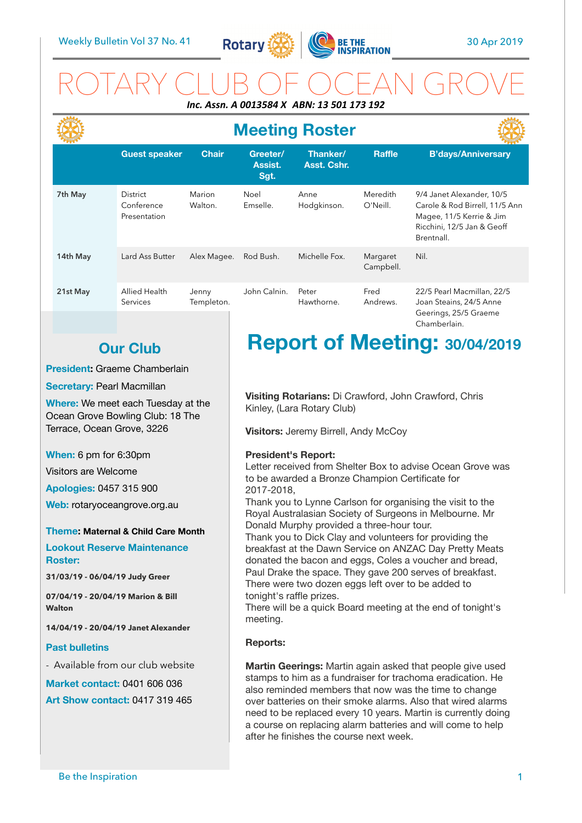

## ROTARY CLUB OF OCEAN GROVE *Inc. Assn. A 0013584 X ABN: 13 501 173 192*

|          | <b>Meeting Roster</b>                         |                     |                             |                                |                       |                                                                                                                                     |  |
|----------|-----------------------------------------------|---------------------|-----------------------------|--------------------------------|-----------------------|-------------------------------------------------------------------------------------------------------------------------------------|--|
|          | <b>Guest speaker</b>                          | <b>Chair</b>        | Greeter/<br>Assist.<br>Sgt. | Thanker/<br><b>Asst. Cshr.</b> | <b>Raffle</b>         | <b>B'days/Anniversary</b>                                                                                                           |  |
| 7th May  | <b>District</b><br>Conference<br>Presentation | Marion<br>Walton.   | Noel<br>Emselle.            | Anne<br>Hodgkinson.            | Meredith<br>O'Neill.  | 9/4 Janet Alexander, 10/5<br>Carole & Rod Birrell, 11/5 Ann<br>Magee, 11/5 Kerrie & Jim<br>Ricchini, 12/5 Jan & Geoff<br>Brentnall. |  |
| 14th May | Lard Ass Butter                               | Alex Magee.         | Rod Bush.                   | Michelle Fox.                  | Margaret<br>Campbell. | Nil.                                                                                                                                |  |
| 21st May | Allied Health<br>Services                     | Jenny<br>Templeton. | John Calnin.                | Peter<br>Hawthorne.            | Fred<br>Andrews.      | 22/5 Pearl Macmillan, 22/5<br>Joan Steains, 24/5 Anne<br>Geerings, 25/5 Graeme                                                      |  |

## **Our Club**

### **President:** Graeme Chamberlain

**Secretary: Pearl Macmillan** 

**Where:** We meet each Tuesday at the Ocean Grove Bowling Club: 18 The Terrace, Ocean Grove, 3226

**When:** 6 pm for 6:30pm

Visitors are Welcome

**Apologies:** 0457 315 900

**Web:** rotaryoceangrove.org.au

**Theme: Maternal & Child Care Month Lookout Reserve Maintenance Roster:** 

**31/03/19 - 06/04/19 Judy Greer** 

**07/04/19 - 20/04/19 Marion & Bill Walton** 

**14/04/19 - 20/04/19 Janet Alexander** 

### **Past bulletins**

- Available from our club website

**Market contact:** 0401 606 036 **Art Show contact:** 0417 319 465

# **Report of Meeting: 30/04/2019**

Chamberlain.

**Visiting Rotarians:** Di Crawford, John Crawford, Chris Kinley, (Lara Rotary Club)

**Visitors:** Jeremy Birrell, Andy McCoy

### **President's Report:**

Letter received from Shelter Box to advise Ocean Grove was to be awarded a Bronze Champion Certificate for 2017-2018,

Thank you to Lynne Carlson for organising the visit to the Royal Australasian Society of Surgeons in Melbourne. Mr Donald Murphy provided a three-hour tour.

Thank you to Dick Clay and volunteers for providing the breakfast at the Dawn Service on ANZAC Day Pretty Meats donated the bacon and eggs, Coles a voucher and bread, Paul Drake the space. They gave 200 serves of breakfast. There were two dozen eggs left over to be added to tonight's raffle prizes.

There will be a quick Board meeting at the end of tonight's meeting.

### **Reports:**

**Martin Geerings:** Martin again asked that people give used stamps to him as a fundraiser for trachoma eradication. He also reminded members that now was the time to change over batteries on their smoke alarms. Also that wired alarms need to be replaced every 10 years. Martin is currently doing a course on replacing alarm batteries and will come to help after he finishes the course next week.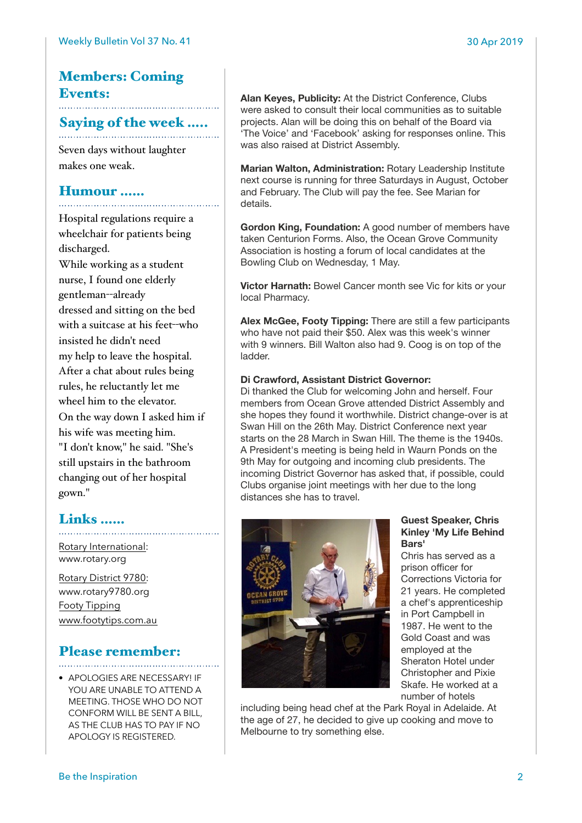# Members: Coming Events:

# Saying of the week .....

Seven days without laughter makes one weak.

### Humour ……

Hospital regulations require a wheelchair for patients being discharged. While working as a student nurse, I found one elderly gentleman--already dressed and sitting on the bed with a suitcase at his feet--who insisted he didn't need my help to leave the hospital. After a chat about rules being rules, he reluctantly let me wheel him to the elevator. On the way down I asked him if his wife was meeting him. "I don't know," he said. "She's still upstairs in the bathroom changing out of her hospital gown."

### Links ……

[Rotary International:](https://www.rotary.org) [www.rotary.org](http://www.rotary.org) 

[Rotary District 9780:](http://rotary9780.org) [www.rotary9780.org](http://www.rotary9780.org)  [Footy Tipping](http://www.footytips.com.au) [www.footytips.com.au](http://www.footytips.com.au)

## Please remember:

• APOLOGIES ARE NECESSARY! IF YOU ARE UNABLE TO ATTEND A MEETING. THOSE WHO DO NOT CONFORM WILL BE SENT A BILL, AS THE CLUB HAS TO PAY IF NO APOLOGY IS REGISTERED.

**Alan Keyes, Publicity:** At the District Conference, Clubs were asked to consult their local communities as to suitable projects. Alan will be doing this on behalf of the Board via 'The Voice' and 'Facebook' asking for responses online. This was also raised at District Assembly.

**Marian Walton, Administration:** Rotary Leadership Institute next course is running for three Saturdays in August, October and February. The Club will pay the fee. See Marian for details.

**Gordon King, Foundation:** A good number of members have taken Centurion Forms. Also, the Ocean Grove Community Association is hosting a forum of local candidates at the Bowling Club on Wednesday, 1 May.

**Victor Harnath:** Bowel Cancer month see Vic for kits or your local Pharmacy.

**Alex McGee, Footy Tipping:** There are still a few participants who have not paid their \$50. Alex was this week's winner with 9 winners. Bill Walton also had 9. Coog is on top of the ladder.

### **Di Crawford, Assistant District Governor:**

Di thanked the Club for welcoming John and herself. Four members from Ocean Grove attended District Assembly and she hopes they found it worthwhile. District change-over is at Swan Hill on the 26th May. District Conference next year starts on the 28 March in Swan Hill. The theme is the 1940s. A President's meeting is being held in Waurn Ponds on the 9th May for outgoing and incoming club presidents. The incoming District Governor has asked that, if possible, could Clubs organise joint meetings with her due to the long distances she has to travel.



### **Guest Speaker, Chris Kinley 'My Life Behind Bars'**

Chris has served as a prison officer for Corrections Victoria for 21 years. He completed a chef's apprenticeship in Port Campbell in 1987. He went to the Gold Coast and was employed at the Sheraton Hotel under Christopher and Pixie Skafe. He worked at a number of hotels

including being head chef at the Park Royal in Adelaide. At the age of 27, he decided to give up cooking and move to Melbourne to try something else.